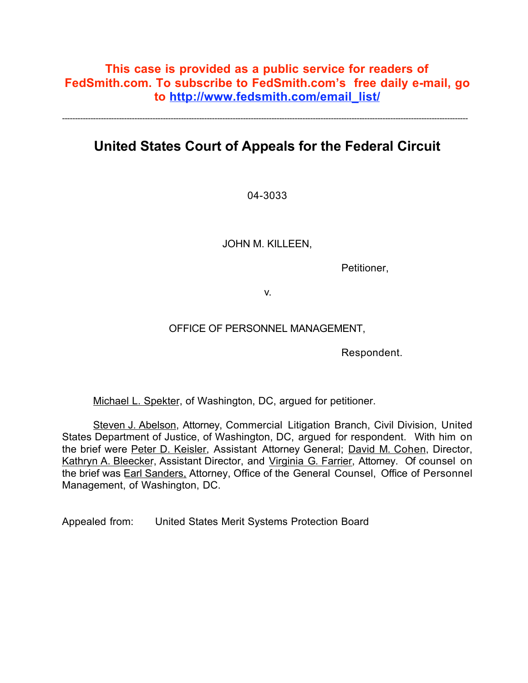## **This case is provided as a public service for readers of FedSmith.com. To subscribe to FedSmith.com's free daily e-mail, go to http://www.fedsmith.com/email\_list/**

**United States Court of Appeals for the Federal Circuit**

-------------------------------------------------------------------------------------------------------------------------------------------------------------

04-3033

JOHN M. KILLEEN,

Petitioner,

v.

### OFFICE OF PERSONNEL MANAGEMENT,

Respondent.

Michael L. Spekter, of Washington, DC, argued for petitioner.

Steven J. Abelson, Attorney, Commercial Litigation Branch, Civil Division, United States Department of Justice, of Washington, DC, argued for respondent. With him on the brief were Peter D. Keisler, Assistant Attorney General; David M. Cohen, Director, Kathryn A. Bleecker, Assistant Director, and Virginia G. Farrier, Attorney. Of counsel on the brief was Earl Sanders, Attorney, Office of the General Counsel, Office of Personnel Management, of Washington, DC.

Appealed from: United States Merit Systems Protection Board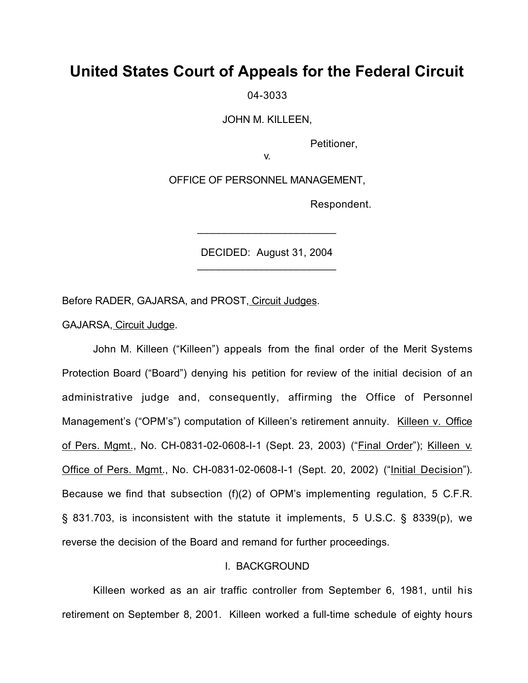# **United States Court of Appeals for the Federal Circuit**

04-3033

JOHN M. KILLEEN,

Petitioner,

v.

OFFICE OF PERSONNEL MANAGEMENT,

Respondent.

DECIDED: August 31, 2004 \_\_\_\_\_\_\_\_\_\_\_\_\_\_\_\_\_\_\_\_\_\_\_

\_\_\_\_\_\_\_\_\_\_\_\_\_\_\_\_\_\_\_\_\_\_\_

Before RADER, GAJARSA, and PROST, Circuit Judges.

GAJARSA, Circuit Judge.

John M. Killeen ("Killeen") appeals from the final order of the Merit Systems Protection Board ("Board") denying his petition for review of the initial decision of an administrative judge and, consequently, affirming the Office of Personnel Management's ("OPM's") computation of Killeen's retirement annuity. Killeen v. Office of Pers. Mgmt., No. CH-0831-02-0608-I-1 (Sept. 23, 2003) ("Final Order"); Killeen v. Office of Pers. Mgmt., No. CH-0831-02-0608-I-1 (Sept. 20, 2002) ("Initial Decision"). Because we find that subsection (f)(2) of OPM's implementing regulation, 5 C.F.R. § 831.703, is inconsistent with the statute it implements, 5 U.S.C. § 8339(p), we reverse the decision of the Board and remand for further proceedings.

#### I. BACKGROUND

Killeen worked as an air traffic controller from September 6, 1981, until his retirement on September 8, 2001. Killeen worked a full-time schedule of eighty hours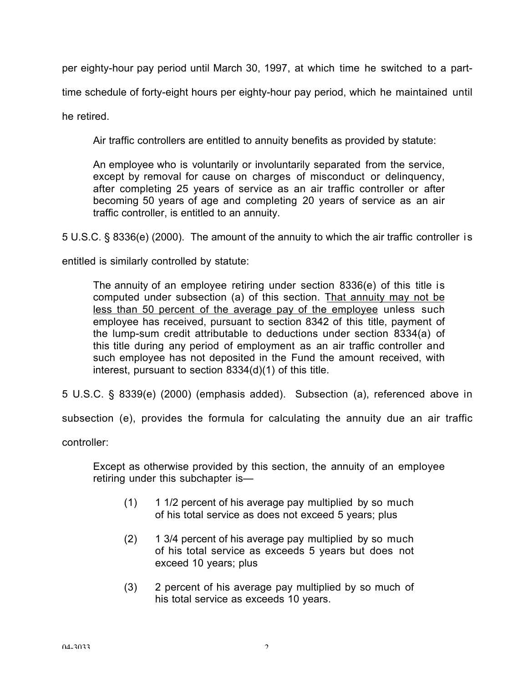per eighty-hour pay period until March 30, 1997, at which time he switched to a part-

time schedule of forty-eight hours per eighty-hour pay period, which he maintained until

he retired.

Air traffic controllers are entitled to annuity benefits as provided by statute:

An employee who is voluntarily or involuntarily separated from the service, except by removal for cause on charges of misconduct or delinquency, after completing 25 years of service as an air traffic controller or after becoming 50 years of age and completing 20 years of service as an air traffic controller, is entitled to an annuity.

5 U.S.C. § 8336(e) (2000). The amount of the annuity to which the air traffic controller is

entitled is similarly controlled by statute:

The annuity of an employee retiring under section 8336(e) of this title is computed under subsection (a) of this section. That annuity may not be less than 50 percent of the average pay of the employee unless such employee has received, pursuant to section 8342 of this title, payment of the lump-sum credit attributable to deductions under section 8334(a) of this title during any period of employment as an air traffic controller and such employee has not deposited in the Fund the amount received, with interest, pursuant to section 8334(d)(1) of this title.

5 U.S.C. § 8339(e) (2000) (emphasis added). Subsection (a), referenced above in

subsection (e), provides the formula for calculating the annuity due an air traffic

controller:

Except as otherwise provided by this section, the annuity of an employee retiring under this subchapter is—

- (1) 1 1/2 percent of his average pay multiplied by so much of his total service as does not exceed 5 years; plus
- (2) 1 3/4 percent of his average pay multiplied by so much of his total service as exceeds 5 years but does not exceed 10 years; plus
- (3) 2 percent of his average pay multiplied by so much of his total service as exceeds 10 years.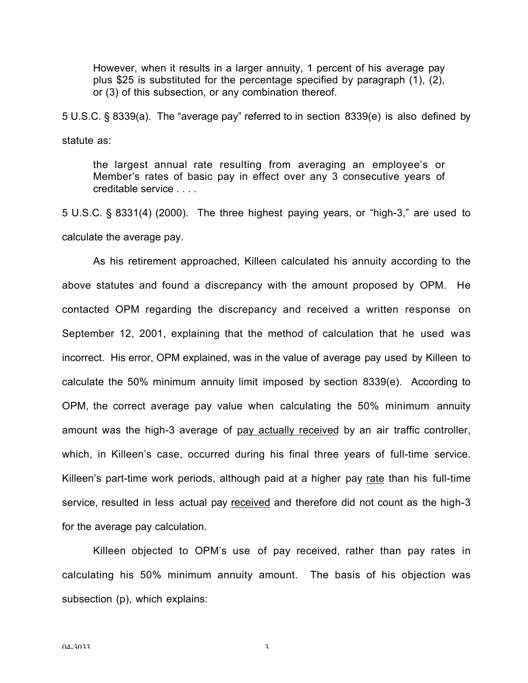However, when it results in a larger annuity, 1 percent of his average pay plus \$25 is substituted for the percentage specified by paragraph (1), (2), or (3) of this subsection, or any combination thereof.

5 U.S.C. § 8339(a). The "average pay" referred to in section 8339(e) is also defined by statute as:

the largest annual rate resulting from averaging an employee's or Member's rates of basic pay in effect over any 3 consecutive years of creditable service

5 U.S.C. § 8331(4) (2000). The three highest paying years, or "high-3," are used to calculate the average pay.

As his retirement approached, Killeen calculated his annuity according to the above statutes and found a discrepancy with the amount proposed by OPM. He contacted OPM regarding the discrepancy and received a written response on September 12, 2001, explaining that the method of calculation that he used was incorrect. His error, OPM explained, was in the value of average pay used by Killeen to calculate the 50% minimum annuity limit imposed by section 8339(e). According to OPM, the correct average pay value when calculating the 50% minimum annuity amount was the high-3 average of pay actually received by an air traffic controller, which, in Killeen's case, occurred during his final three years of full-time service. Killeen's part-time work periods, although paid at a higher pay rate than his full-time service, resulted in less actual pay received and therefore did not count as the high-3 for the average pay calculation.

Killeen objected to OPM's use of pay received, rather than pay rates in calculating his 50% minimum annuity amount. The basis of his objection was subsection (p), which explains: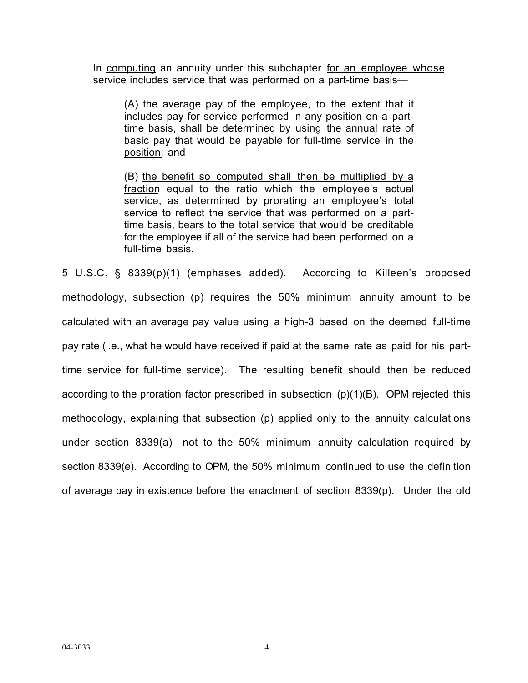In computing an annuity under this subchapter for an employee whose service includes service that was performed on a part-time basis—

(A) the average pay of the employee, to the extent that it includes pay for service performed in any position on a parttime basis, shall be determined by using the annual rate of basic pay that would be payable for full-time service in the position; and

(B) the benefit so computed shall then be multiplied by a fraction equal to the ratio which the employee's actual service, as determined by prorating an employee's total service to reflect the service that was performed on a parttime basis, bears to the total service that would be creditable for the employee if all of the service had been performed on a full-time basis.

5 U.S.C. § 8339(p)(1) (emphases added). According to Killeen's proposed methodology, subsection (p) requires the 50% minimum annuity amount to be calculated with an average pay value using a high-3 based on the deemed full-time pay rate (i.e., what he would have received if paid at the same rate as paid for his parttime service for full-time service). The resulting benefit should then be reduced according to the proration factor prescribed in subsection  $(p)(1)(B)$ . OPM rejected this methodology, explaining that subsection (p) applied only to the annuity calculations under section 8339(a)—not to the 50% minimum annuity calculation required by section 8339(e). According to OPM, the 50% minimum continued to use the definition of average pay in existence before the enactment of section 8339(p). Under the old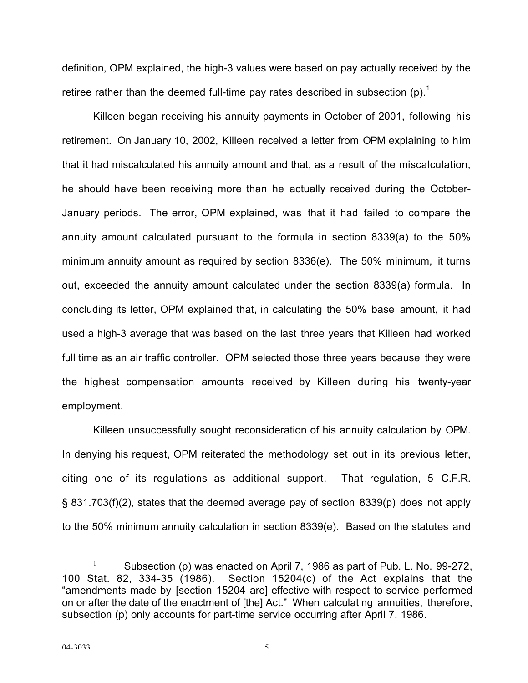definition, OPM explained, the high-3 values were based on pay actually received by the retiree rather than the deemed full-time pay rates described in subsection (p).<sup>1</sup>

Killeen began receiving his annuity payments in October of 2001, following his retirement. On January 10, 2002, Killeen received a letter from OPM explaining to him that it had miscalculated his annuity amount and that, as a result of the miscalculation, he should have been receiving more than he actually received during the October-January periods. The error, OPM explained, was that it had failed to compare the annuity amount calculated pursuant to the formula in section 8339(a) to the 50% minimum annuity amount as required by section 8336(e). The 50% minimum, it turns out, exceeded the annuity amount calculated under the section 8339(a) formula. In concluding its letter, OPM explained that, in calculating the 50% base amount, it had used a high-3 average that was based on the last three years that Killeen had worked full time as an air traffic controller. OPM selected those three years because they were the highest compensation amounts received by Killeen during his twenty-year employment.

Killeen unsuccessfully sought reconsideration of his annuity calculation by OPM. In denying his request, OPM reiterated the methodology set out in its previous letter, citing one of its regulations as additional support. That regulation, 5 C.F.R. § 831.703(f)(2), states that the deemed average pay of section 8339(p) does not apply to the 50% minimum annuity calculation in section 8339(e). Based on the statutes and

<sup>&</sup>lt;sup>1</sup> Subsection (p) was enacted on April 7, 1986 as part of Pub. L. No. 99-272, 100 Stat. 82, 334-35 (1986). Section 15204(c) of the Act explains that the "amendments made by [section 15204 are] effective with respect to service performed on or after the date of the enactment of [the] Act." When calculating annuities, therefore, subsection (p) only accounts for part-time service occurring after April 7, 1986.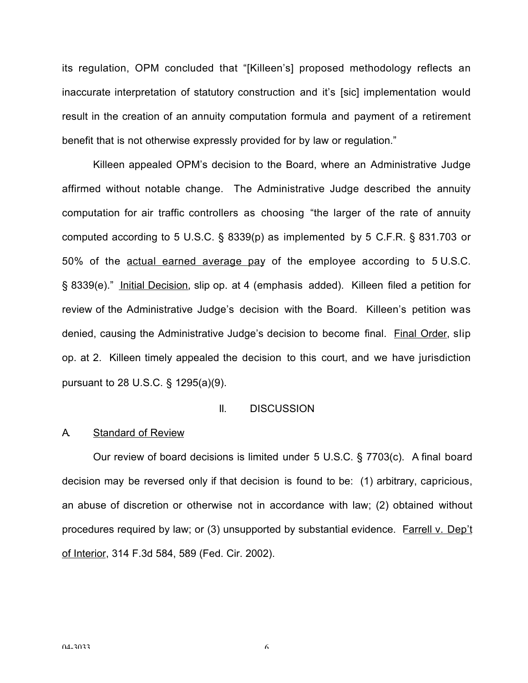its regulation, OPM concluded that "[Killeen's] proposed methodology reflects an inaccurate interpretation of statutory construction and it's [sic] implementation would result in the creation of an annuity computation formula and payment of a retirement benefit that is not otherwise expressly provided for by law or regulation."

Killeen appealed OPM's decision to the Board, where an Administrative Judge affirmed without notable change. The Administrative Judge described the annuity computation for air traffic controllers as choosing "the larger of the rate of annuity computed according to 5 U.S.C. § 8339(p) as implemented by 5 C.F.R. § 831.703 or 50% of the actual earned average pay of the employee according to 5 U.S.C. § 8339(e)." Initial Decision, slip op. at 4 (emphasis added). Killeen filed a petition for review of the Administrative Judge's decision with the Board. Killeen's petition was denied, causing the Administrative Judge's decision to become final. Final Order, slip op. at 2. Killeen timely appealed the decision to this court, and we have jurisdiction pursuant to 28 U.S.C. § 1295(a)(9).

#### II. DISCUSSION

#### A. Standard of Review

Our review of board decisions is limited under 5 U.S.C. § 7703(c). A final board decision may be reversed only if that decision is found to be: (1) arbitrary, capricious, an abuse of discretion or otherwise not in accordance with law; (2) obtained without procedures required by law; or (3) unsupported by substantial evidence. Farrell v. Dep't of Interior, 314 F.3d 584, 589 (Fed. Cir. 2002).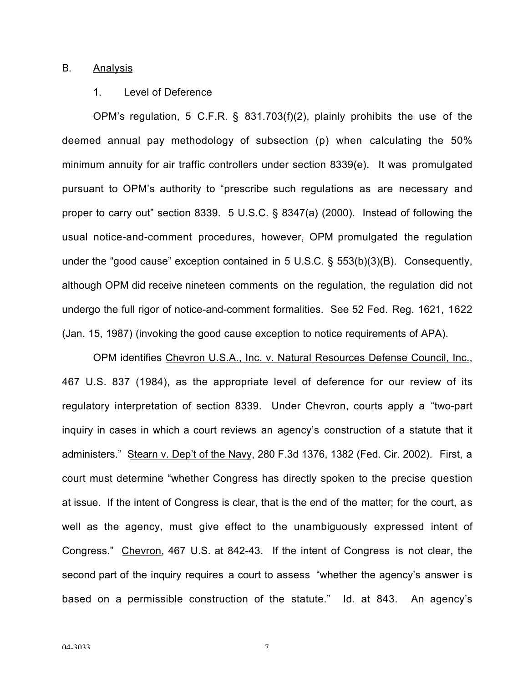#### B. Analysis

#### 1. Level of Deference

OPM's regulation, 5 C.F.R. § 831.703(f)(2), plainly prohibits the use of the deemed annual pay methodology of subsection (p) when calculating the 50% minimum annuity for air traffic controllers under section 8339(e). It was promulgated pursuant to OPM's authority to "prescribe such regulations as are necessary and proper to carry out" section 8339. 5 U.S.C. § 8347(a) (2000). Instead of following the usual notice-and-comment procedures, however, OPM promulgated the regulation under the "good cause" exception contained in 5 U.S.C. § 553(b)(3)(B). Consequently, although OPM did receive nineteen comments on the regulation, the regulation did not undergo the full rigor of notice-and-comment formalities. See 52 Fed. Reg. 1621, 1622 (Jan. 15, 1987) (invoking the good cause exception to notice requirements of APA).

OPM identifies Chevron U.S.A., Inc. v. Natural Resources Defense Council, Inc., 467 U.S. 837 (1984), as the appropriate level of deference for our review of its regulatory interpretation of section 8339. Under Chevron, courts apply a "two-part inquiry in cases in which a court reviews an agency's construction of a statute that it administers." Stearn v. Dep't of the Navy, 280 F.3d 1376, 1382 (Fed. Cir. 2002). First, a court must determine "whether Congress has directly spoken to the precise question at issue. If the intent of Congress is clear, that is the end of the matter; for the court, as well as the agency, must give effect to the unambiguously expressed intent of Congress." Chevron, 467 U.S. at 842-43. If the intent of Congress is not clear, the second part of the inquiry requires a court to assess "whether the agency's answer is based on a permissible construction of the statute." Id. at 843. An agency's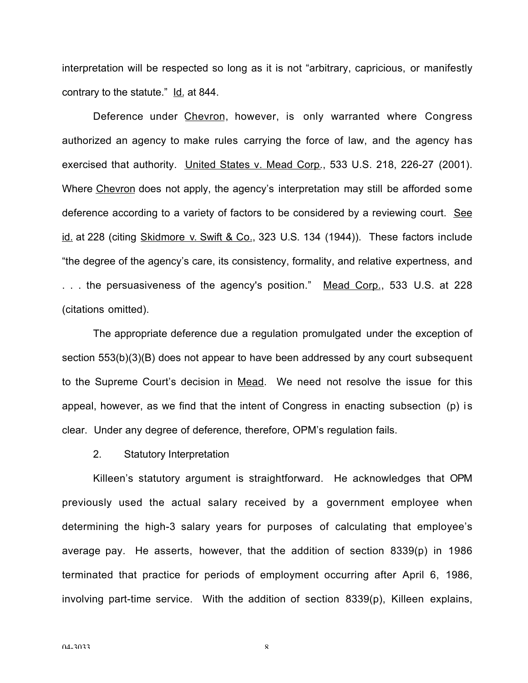interpretation will be respected so long as it is not "arbitrary, capricious, or manifestly contrary to the statute." Id. at 844.

Deference under Chevron, however, is only warranted where Congress authorized an agency to make rules carrying the force of law, and the agency has exercised that authority. United States v. Mead Corp., 533 U.S. 218, 226-27 (2001). Where Chevron does not apply, the agency's interpretation may still be afforded some deference according to a variety of factors to be considered by a reviewing court. See id. at 228 (citing Skidmore v. Swift & Co., 323 U.S. 134 (1944)). These factors include "the degree of the agency's care, its consistency, formality, and relative expertness, and . . . the persuasiveness of the agency's position." Mead Corp., 533 U.S. at 228 (citations omitted).

The appropriate deference due a regulation promulgated under the exception of section 553(b)(3)(B) does not appear to have been addressed by any court subsequent to the Supreme Court's decision in Mead. We need not resolve the issue for this appeal, however, as we find that the intent of Congress in enacting subsection (p) is clear. Under any degree of deference, therefore, OPM's regulation fails.

#### 2. Statutory Interpretation

Killeen's statutory argument is straightforward. He acknowledges that OPM previously used the actual salary received by a government employee when determining the high-3 salary years for purposes of calculating that employee's average pay. He asserts, however, that the addition of section 8339(p) in 1986 terminated that practice for periods of employment occurring after April 6, 1986, involving part-time service. With the addition of section 8339(p), Killeen explains,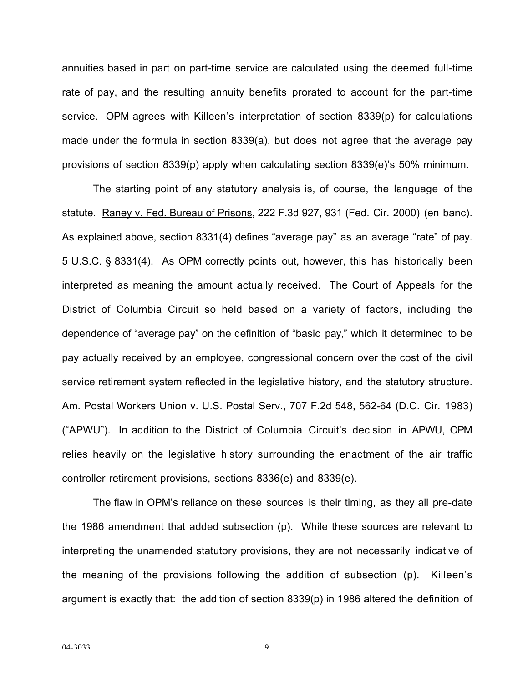annuities based in part on part-time service are calculated using the deemed full-time rate of pay, and the resulting annuity benefits prorated to account for the part-time service. OPM agrees with Killeen's interpretation of section 8339(p) for calculations made under the formula in section 8339(a), but does not agree that the average pay provisions of section 8339(p) apply when calculating section 8339(e)'s 50% minimum.

The starting point of any statutory analysis is, of course, the language of the statute. Raney v. Fed. Bureau of Prisons, 222 F.3d 927, 931 (Fed. Cir. 2000) (en banc). As explained above, section 8331(4) defines "average pay" as an average "rate" of pay. 5 U.S.C. § 8331(4). As OPM correctly points out, however, this has historically been interpreted as meaning the amount actually received. The Court of Appeals for the District of Columbia Circuit so held based on a variety of factors, including the dependence of "average pay" on the definition of "basic pay," which it determined to be pay actually received by an employee, congressional concern over the cost of the civil service retirement system reflected in the legislative history, and the statutory structure. Am. Postal Workers Union v. U.S. Postal Serv., 707 F.2d 548, 562-64 (D.C. Cir. 1983) ("APWU"). In addition to the District of Columbia Circuit's decision in APWU, OPM relies heavily on the legislative history surrounding the enactment of the air traffic controller retirement provisions, sections 8336(e) and 8339(e).

The flaw in OPM's reliance on these sources is their timing, as they all pre-date the 1986 amendment that added subsection (p). While these sources are relevant to interpreting the unamended statutory provisions, they are not necessarily indicative of the meaning of the provisions following the addition of subsection (p). Killeen's argument is exactly that: the addition of section 8339(p) in 1986 altered the definition of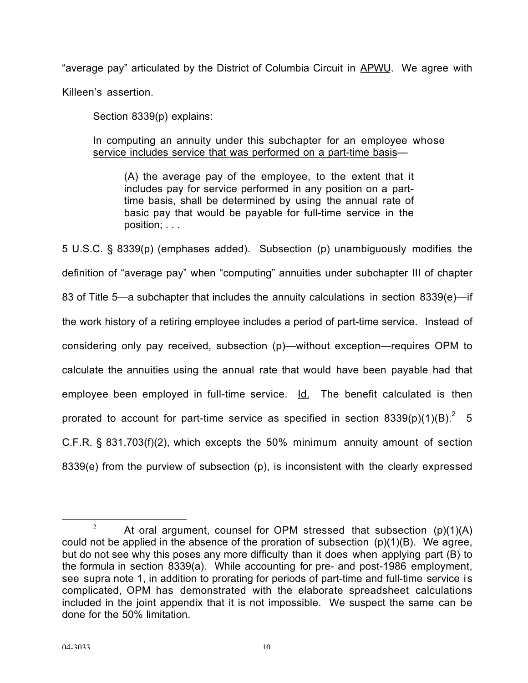"average pay" articulated by the District of Columbia Circuit in APWU. We agree with Killeen's assertion.

Section 8339(p) explains:

In computing an annuity under this subchapter for an employee whose service includes service that was performed on a part-time basis—

(A) the average pay of the employee, to the extent that it includes pay for service performed in any position on a parttime basis, shall be determined by using the annual rate of basic pay that would be payable for full-time service in the position; . . .

5 U.S.C. § 8339(p) (emphases added). Subsection (p) unambiguously modifies the definition of "average pay" when "computing" annuities under subchapter III of chapter 83 of Title 5—a subchapter that includes the annuity calculations in section 8339(e)—if the work history of a retiring employee includes a period of part-time service. Instead of considering only pay received, subsection (p)—without exception—requires OPM to calculate the annuities using the annual rate that would have been payable had that employee been employed in full-time service. Id. The benefit calculated is then prorated to account for part-time service as specified in section 8339(p)(1)(B).<sup>2</sup> 5 C.F.R. § 831.703(f)(2), which excepts the 50% minimum annuity amount of section 8339(e) from the purview of subsection (p), is inconsistent with the clearly expressed

<sup>&</sup>lt;sup>2</sup> At oral argument, counsel for OPM stressed that subsection (p)(1)(A) could not be applied in the absence of the proration of subsection  $(p)(1)(B)$ . We agree, but do not see why this poses any more difficulty than it does when applying part (B) to the formula in section 8339(a). While accounting for pre- and post-1986 employment, see supra note 1, in addition to prorating for periods of part-time and full-time service is complicated, OPM has demonstrated with the elaborate spreadsheet calculations included in the joint appendix that it is not impossible. We suspect the same can be done for the 50% limitation.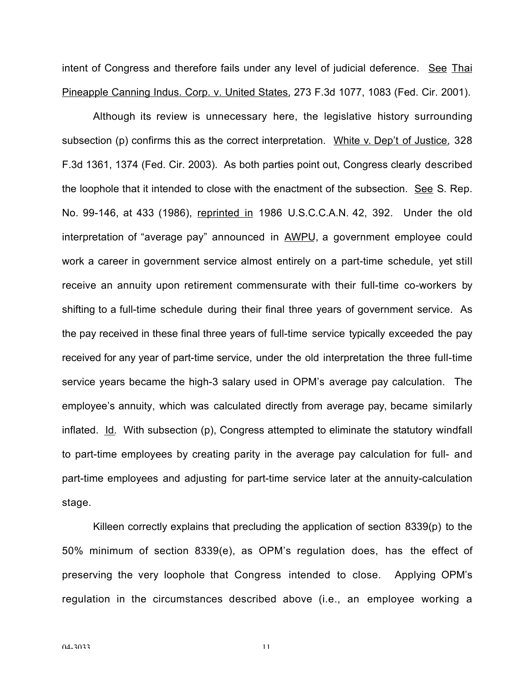intent of Congress and therefore fails under any level of judicial deference. See Thai Pineapple Canning Indus. Corp. v. United States, 273 F.3d 1077, 1083 (Fed. Cir. 2001).

Although its review is unnecessary here, the legislative history surrounding subsection (p) confirms this as the correct interpretation. White v. Dep't of Justice, 328 F.3d 1361, 1374 (Fed. Cir. 2003). As both parties point out, Congress clearly described the loophole that it intended to close with the enactment of the subsection. See S. Rep. No. 99-146, at 433 (1986), reprinted in 1986 U.S.C.C.A.N. 42, 392. Under the old interpretation of "average pay" announced in AWPU, a government employee could work a career in government service almost entirely on a part-time schedule, yet still receive an annuity upon retirement commensurate with their full-time co-workers by shifting to a full-time schedule during their final three years of government service. As the pay received in these final three years of full-time service typically exceeded the pay received for any year of part-time service, under the old interpretation the three full-time service years became the high-3 salary used in OPM's average pay calculation. The employee's annuity, which was calculated directly from average pay, became similarly inflated. Id. With subsection (p), Congress attempted to eliminate the statutory windfall to part-time employees by creating parity in the average pay calculation for full- and part-time employees and adjusting for part-time service later at the annuity-calculation stage.

Killeen correctly explains that precluding the application of section 8339(p) to the 50% minimum of section 8339(e), as OPM's regulation does, has the effect of preserving the very loophole that Congress intended to close. Applying OPM's regulation in the circumstances described above (i.e., an employee working a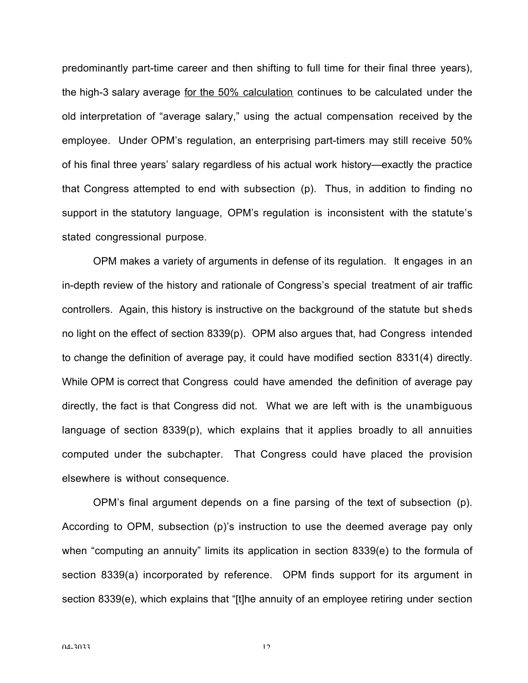predominantly part-time career and then shifting to full time for their final three years), the high-3 salary average for the 50% calculation continues to be calculated under the old interpretation of "average salary," using the actual compensation received by the employee. Under OPM's regulation, an enterprising part-timers may still receive 50% of his final three years' salary regardless of his actual work history—exactly the practice that Congress attempted to end with subsection (p). Thus, in addition to finding no support in the statutory language, OPM's regulation is inconsistent with the statute's stated congressional purpose.

OPM makes a variety of arguments in defense of its regulation. It engages in an in-depth review of the history and rationale of Congress's special treatment of air traffic controllers. Again, this history is instructive on the background of the statute but sheds no light on the effect of section 8339(p). OPM also argues that, had Congress intended to change the definition of average pay, it could have modified section 8331(4) directly. While OPM is correct that Congress could have amended the definition of average pay directly, the fact is that Congress did not. What we are left with is the unambiguous language of section 8339(p), which explains that it applies broadly to all annuities computed under the subchapter. That Congress could have placed the provision elsewhere is without consequence.

OPM's final argument depends on a fine parsing of the text of subsection (p). According to OPM, subsection (p)'s instruction to use the deemed average pay only when "computing an annuity" limits its application in section 8339(e) to the formula of section 8339(a) incorporated by reference. OPM finds support for its argument in section 8339(e), which explains that "[t]he annuity of an employee retiring under section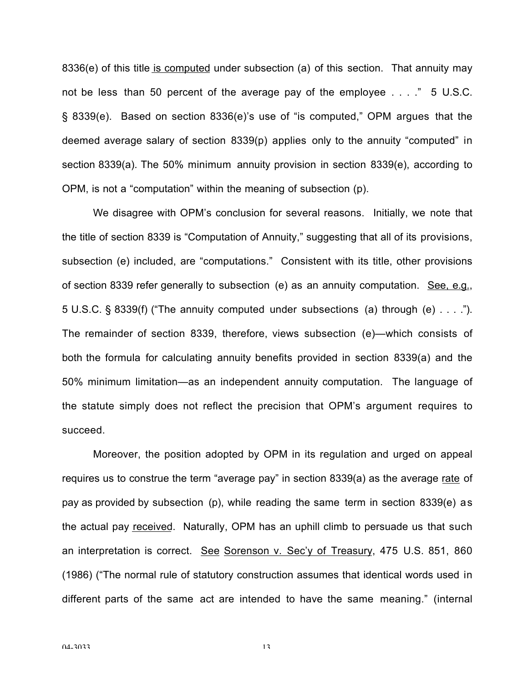8336(e) of this title is computed under subsection (a) of this section. That annuity may not be less than 50 percent of the average pay of the employee . . . ." 5 U.S.C. § 8339(e). Based on section 8336(e)'s use of "is computed," OPM argues that the deemed average salary of section 8339(p) applies only to the annuity "computed" in section 8339(a). The 50% minimum annuity provision in section 8339(e), according to OPM, is not a "computation" within the meaning of subsection (p).

We disagree with OPM's conclusion for several reasons. Initially, we note that the title of section 8339 is "Computation of Annuity," suggesting that all of its provisions, subsection (e) included, are "computations." Consistent with its title, other provisions of section 8339 refer generally to subsection (e) as an annuity computation. See, e.g., 5 U.S.C. § 8339(f) ("The annuity computed under subsections (a) through (e) . . . ."). The remainder of section 8339, therefore, views subsection (e)—which consists of both the formula for calculating annuity benefits provided in section 8339(a) and the 50% minimum limitation—as an independent annuity computation. The language of the statute simply does not reflect the precision that OPM's argument requires to succeed.

Moreover, the position adopted by OPM in its regulation and urged on appeal requires us to construe the term "average pay" in section 8339(a) as the average rate of pay as provided by subsection (p), while reading the same term in section 8339(e) as the actual pay received. Naturally, OPM has an uphill climb to persuade us that such an interpretation is correct. See Sorenson v. Sec'y of Treasury, 475 U.S. 851, 860 (1986) ("The normal rule of statutory construction assumes that identical words used in different parts of the same act are intended to have the same meaning." (internal